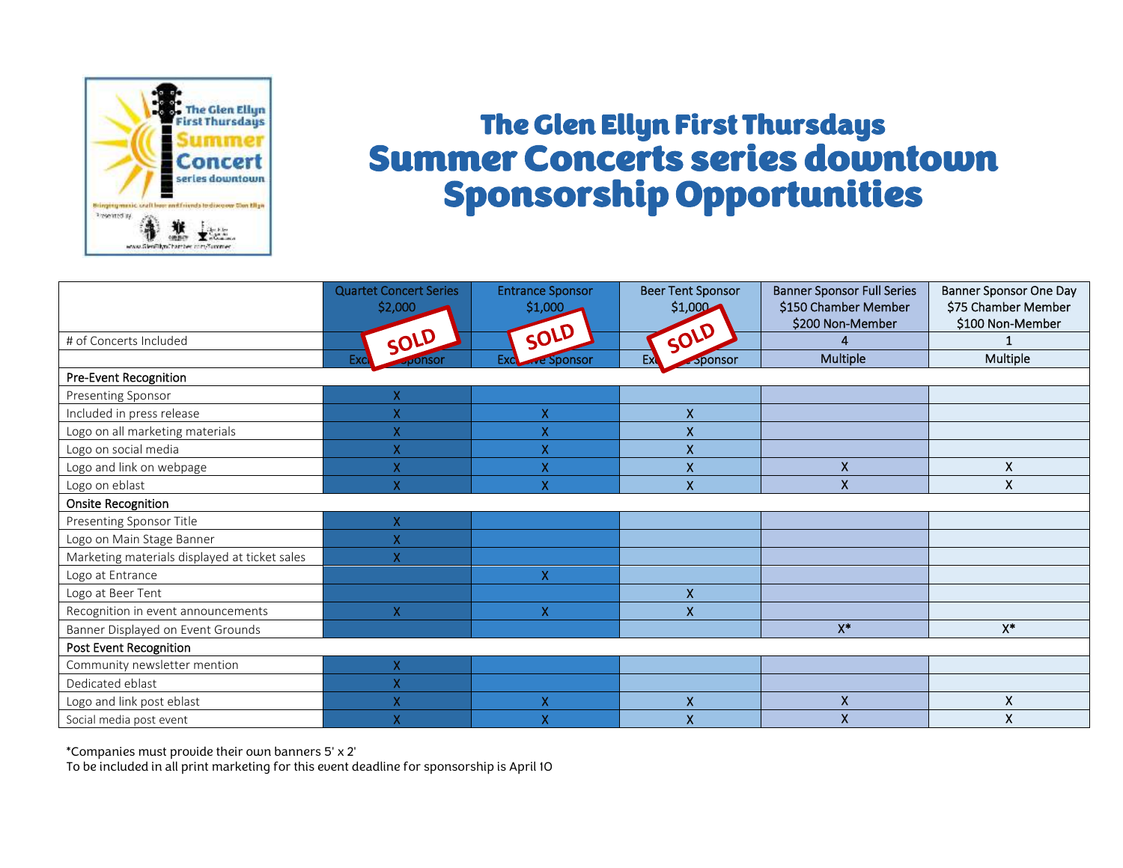

## The Glen Ellyn First Thursdays Summer Concerts series downtown Sponsorship Opportunities

|                                               | <b>Quartet Concert Series</b><br>\$2,000 | <b>Entrance Sponsor</b><br>\$1,000 | <b>Beer Tent Sponsor</b><br>\$1,000 | <b>Banner Sponsor Full Series</b><br>\$150 Chamber Member<br>\$200 Non-Member | <b>Banner Sponsor One Day</b><br>\$75 Chamber Member<br>\$100 Non-Member |
|-----------------------------------------------|------------------------------------------|------------------------------------|-------------------------------------|-------------------------------------------------------------------------------|--------------------------------------------------------------------------|
| # of Concerts Included                        | SOLD                                     | SOLD                               | SOLD                                |                                                                               |                                                                          |
|                                               | Exc<br><b>JUONSON</b>                    | Exclair Sponsor                    | Ex<br><b>Sponsor</b>                | Multiple                                                                      | Multiple                                                                 |
| Pre-Event Recognition                         |                                          |                                    |                                     |                                                                               |                                                                          |
| Presenting Sponsor                            | X                                        |                                    |                                     |                                                                               |                                                                          |
| Included in press release                     | X                                        | X                                  | X                                   |                                                                               |                                                                          |
| Logo on all marketing materials               | X                                        | X                                  | X                                   |                                                                               |                                                                          |
| Logo on social media                          | X                                        | X                                  | $\boldsymbol{\mathsf{X}}$           |                                                                               |                                                                          |
| Logo and link on webpage                      | X                                        | X                                  | $\mathsf{X}$                        | $\mathsf{X}$                                                                  | X.                                                                       |
| Logo on eblast                                | X                                        | X                                  | $\overline{\mathsf{x}}$             | X                                                                             | X.                                                                       |
| <b>Onsite Recognition</b>                     |                                          |                                    |                                     |                                                                               |                                                                          |
| Presenting Sponsor Title                      | X                                        |                                    |                                     |                                                                               |                                                                          |
| Logo on Main Stage Banner                     | X                                        |                                    |                                     |                                                                               |                                                                          |
| Marketing materials displayed at ticket sales | $\overline{\mathsf{X}}$                  |                                    |                                     |                                                                               |                                                                          |
| Logo at Entrance                              |                                          | X                                  |                                     |                                                                               |                                                                          |
| Logo at Beer Tent                             |                                          |                                    | $\pmb{\mathsf{X}}$                  |                                                                               |                                                                          |
| Recognition in event announcements            | X                                        | X                                  | $\boldsymbol{X}$                    |                                                                               |                                                                          |
| Banner Displayed on Event Grounds             |                                          |                                    |                                     | $X^*$                                                                         | $X^*$                                                                    |
| <b>Post Event Recognition</b>                 |                                          |                                    |                                     |                                                                               |                                                                          |
| Community newsletter mention                  | X                                        |                                    |                                     |                                                                               |                                                                          |
| Dedicated eblast                              | X                                        |                                    |                                     |                                                                               |                                                                          |
| Logo and link post eblast                     | X                                        | X                                  | $\boldsymbol{\mathsf{X}}$           | Χ                                                                             | X                                                                        |
| Social media post event                       | X                                        | X                                  | $\mathsf{x}$                        | X                                                                             | X                                                                        |

\*Companies must provide their own banners 5' x 2'

To be included in all print marketing for this event deadline for sponsorship is April 10